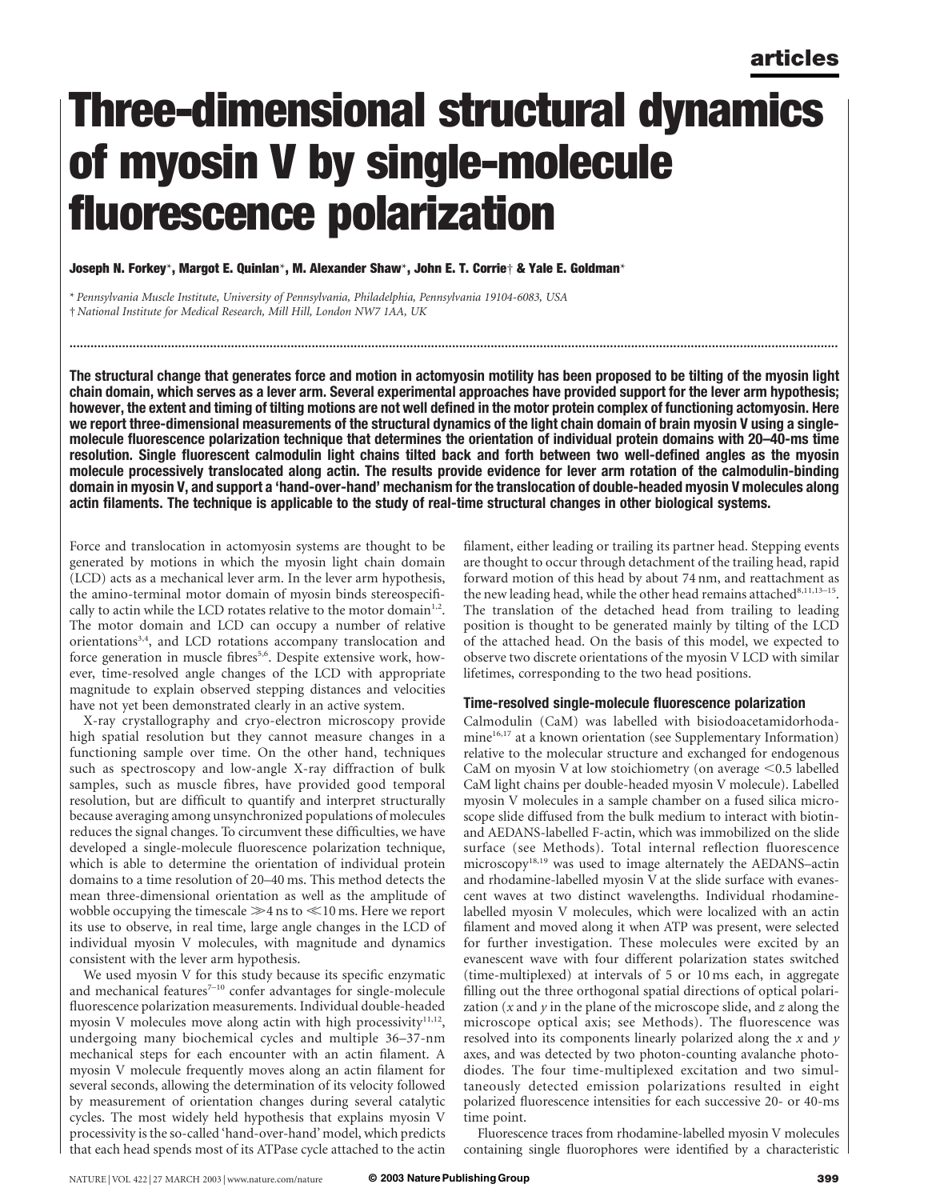# Three-dimensional structural dynamics of myosin V by single-molecule fluorescence polarization

Joseph N. Forkey\*, Margot E. Quinlan\*, M. Alexander Shaw\*, John E. T. Corrie† & Yale E. Goldman\*

\* Pennsylvania Muscle Institute, University of Pennsylvania, Philadelphia, Pennsylvania 19104-6083, USA † National Institute for Medical Research, Mill Hill, London NW7 1AA, UK

The structural change that generates force and motion in actomyosin motility has been proposed to be tilting of the myosin light chain domain, which serves as a lever arm. Several experimental approaches have provided support for the lever arm hypothesis; however, the extent and timing of tilting motions are not well defined in the motor protein complex of functioning actomyosin. Here we report three-dimensional measurements of the structural dynamics of the light chain domain of brain myosin V using a singlemolecule fluorescence polarization technique that determines the orientation of individual protein domains with 20–40-ms time resolution. Single fluorescent calmodulin light chains tilted back and forth between two well-defined angles as the myosin molecule processively translocated along actin. The results provide evidence for lever arm rotation of the calmodulin-binding domain in myosin V, and support a 'hand-over-hand' mechanism for the translocation of double-headed myosin V molecules along actin filaments. The technique is applicable to the study of real-time structural changes in other biological systems.

...........................................................................................................................................................................................................................

Force and translocation in actomyosin systems are thought to be generated by motions in which the myosin light chain domain (LCD) acts as a mechanical lever arm. In the lever arm hypothesis, the amino-terminal motor domain of myosin binds stereospecifically to actin while the LCD rotates relative to the motor domain $1,2$ . The motor domain and LCD can occupy a number of relative orientations<sup>3,4</sup>, and LCD rotations accompany translocation and force generation in muscle fibres<sup>5,6</sup>. Despite extensive work, however, time-resolved angle changes of the LCD with appropriate magnitude to explain observed stepping distances and velocities have not yet been demonstrated clearly in an active system.

X-ray crystallography and cryo-electron microscopy provide high spatial resolution but they cannot measure changes in a functioning sample over time. On the other hand, techniques such as spectroscopy and low-angle X-ray diffraction of bulk samples, such as muscle fibres, have provided good temporal resolution, but are difficult to quantify and interpret structurally because averaging among unsynchronized populations of molecules reduces the signal changes. To circumvent these difficulties, we have developed a single-molecule fluorescence polarization technique, which is able to determine the orientation of individual protein domains to a time resolution of 20–40 ms. This method detects the mean three-dimensional orientation as well as the amplitude of wobble occupying the timescale  $\gg$ 4 ns to  $\ll$ 10 ms. Here we report its use to observe, in real time, large angle changes in the LCD of individual myosin V molecules, with magnitude and dynamics consistent with the lever arm hypothesis.

We used myosin V for this study because its specific enzymatic and mechanical features $7-10$  confer advantages for single-molecule fluorescence polarization measurements. Individual double-headed myosin V molecules move along actin with high processivity<sup>11,12</sup>, undergoing many biochemical cycles and multiple 36–37-nm mechanical steps for each encounter with an actin filament. A myosin V molecule frequently moves along an actin filament for several seconds, allowing the determination of its velocity followed by measurement of orientation changes during several catalytic cycles. The most widely held hypothesis that explains myosin V processivity is the so-called 'hand-over-hand' model, which predicts that each head spends most of its ATPase cycle attached to the actin

filament, either leading or trailing its partner head. Stepping events are thought to occur through detachment of the trailing head, rapid forward motion of this head by about 74 nm, and reattachment as the new leading head, while the other head remains attached<sup>8,11,13-15</sup>. The translation of the detached head from trailing to leading position is thought to be generated mainly by tilting of the LCD of the attached head. On the basis of this model, we expected to observe two discrete orientations of the myosin V LCD with similar lifetimes, corresponding to the two head positions.

### Time-resolved single-molecule fluorescence polarization

Calmodulin (CaM) was labelled with bisiodoacetamidorhodamine<sup>16,17</sup> at a known orientation (see Supplementary Information) relative to the molecular structure and exchanged for endogenous CaM on myosin V at low stoichiometry (on average  $<$  0.5 labelled CaM light chains per double-headed myosin V molecule). Labelled myosin V molecules in a sample chamber on a fused silica microscope slide diffused from the bulk medium to interact with biotinand AEDANS-labelled F-actin, which was immobilized on the slide surface (see Methods). Total internal reflection fluorescence microscopy<sup>18,19</sup> was used to image alternately the AEDANS–actin and rhodamine-labelled myosin V at the slide surface with evanescent waves at two distinct wavelengths. Individual rhodaminelabelled myosin V molecules, which were localized with an actin filament and moved along it when ATP was present, were selected for further investigation. These molecules were excited by an evanescent wave with four different polarization states switched (time-multiplexed) at intervals of 5 or 10 ms each, in aggregate filling out the three orthogonal spatial directions of optical polarization ( $x$  and  $y$  in the plane of the microscope slide, and  $z$  along the microscope optical axis; see Methods). The fluorescence was resolved into its components linearly polarized along the  $x$  and  $y$ axes, and was detected by two photon-counting avalanche photodiodes. The four time-multiplexed excitation and two simultaneously detected emission polarizations resulted in eight polarized fluorescence intensities for each successive 20- or 40-ms time point.

Fluorescence traces from rhodamine-labelled myosin V molecules containing single fluorophores were identified by a characteristic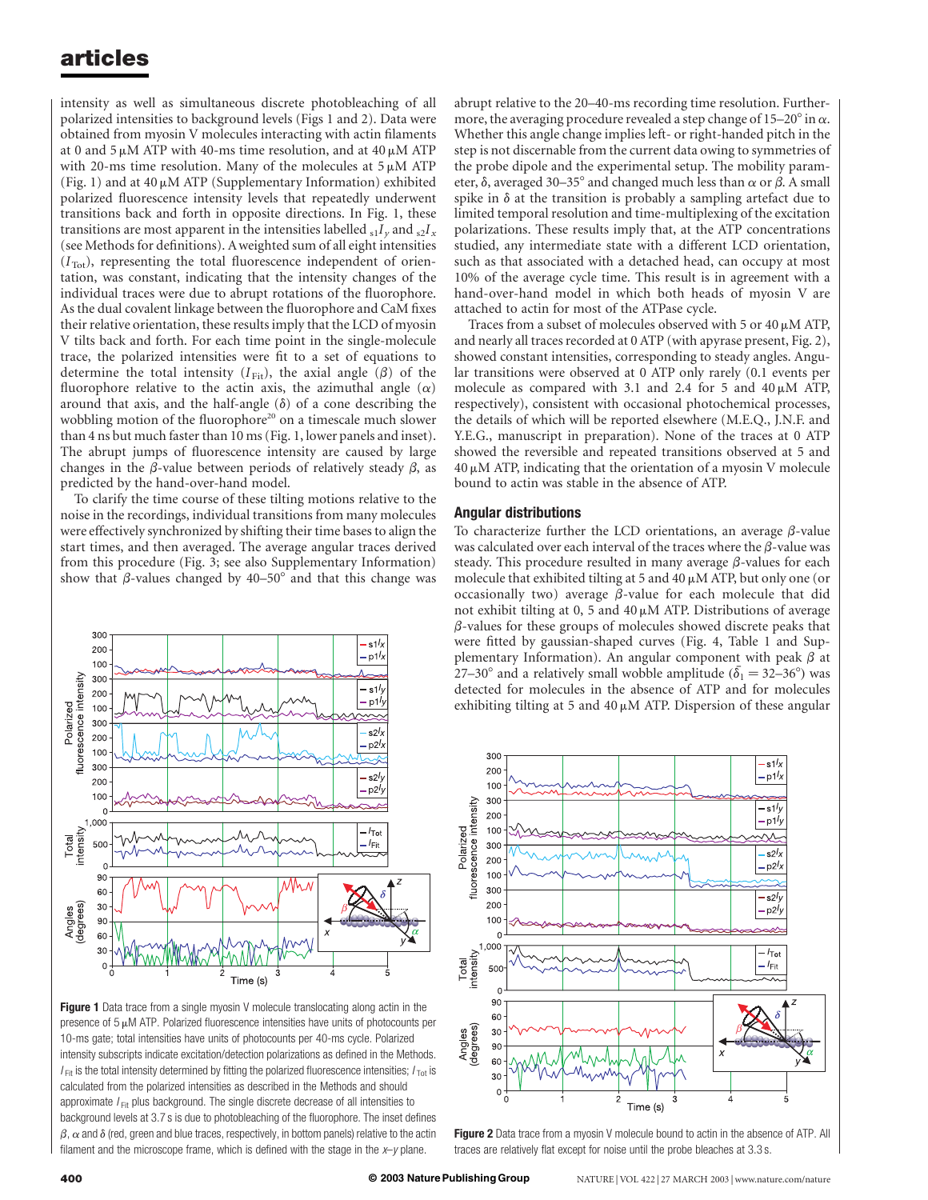intensity as well as simultaneous discrete photobleaching of all polarized intensities to background levels (Figs 1 and 2). Data were obtained from myosin V molecules interacting with actin filaments at 0 and 5  $\mu$ M ATP with 40-ms time resolution, and at 40  $\mu$ M ATP with 20-ms time resolution. Many of the molecules at  $5 \mu M$  ATP (Fig. 1) and at 40  $\mu$ M ATP (Supplementary Information) exhibited polarized fluorescence intensity levels that repeatedly underwent transitions back and forth in opposite directions. In Fig. 1, these transitions are most apparent in the intensities labelled  $_{s1}I_y$  and  $_{s2}I_x$ (see Methods for definitions). A weighted sum of all eight intensities  $(I<sub>Tot</sub>)$ , representing the total fluorescence independent of orientation, was constant, indicating that the intensity changes of the individual traces were due to abrupt rotations of the fluorophore. As the dual covalent linkage between the fluorophore and CaM fixes their relative orientation, these results imply that the LCD of myosin V tilts back and forth. For each time point in the single-molecule trace, the polarized intensities were fit to a set of equations to determine the total intensity ( $I_{\text{Fit}}$ ), the axial angle ( $\beta$ ) of the fluorophore relative to the actin axis, the azimuthal angle  $(\alpha)$ around that axis, and the half-angle  $(\delta)$  of a cone describing the wobbling motion of the fluorophore<sup>20</sup> on a timescale much slower than 4 ns but much faster than 10 ms (Fig. 1, lower panels and inset). The abrupt jumps of fluorescence intensity are caused by large changes in the  $\beta$ -value between periods of relatively steady  $\beta$ , as predicted by the hand-over-hand model.

To clarify the time course of these tilting motions relative to the noise in the recordings, individual transitions from many molecules were effectively synchronized by shifting their time bases to align the start times, and then averaged. The average angular traces derived from this procedure (Fig. 3; see also Supplementary Information) show that  $\beta$ -values changed by 40–50 $\degree$  and that this change was



Figure 1 Data trace from a single myosin V molecule translocating along actin in the presence of  $5 \mu$ M ATP. Polarized fluorescence intensities have units of photocounts per 10-ms gate; total intensities have units of photocounts per 40-ms cycle. Polarized intensity subscripts indicate excitation/detection polarizations as defined in the Methods.  $I_{\text{Fit}}$  is the total intensity determined by fitting the polarized fluorescence intensities;  $I_{\text{Tot}}$  is calculated from the polarized intensities as described in the Methods and should approximate  $I_{\text{Fit}}$  plus background. The single discrete decrease of all intensities to background levels at 3.7 s is due to photobleaching of the fluorophore. The inset defines  $\beta$ ,  $\alpha$  and  $\delta$  (red, green and blue traces, respectively, in bottom panels) relative to the actin filament and the microscope frame, which is defined with the stage in the  $x-y$  plane.

abrupt relative to the 20–40-ms recording time resolution. Furthermore, the averaging procedure revealed a step change of  $15-20^{\circ}$  in  $\alpha$ . Whether this angle change implies left- or right-handed pitch in the step is not discernable from the current data owing to symmetries of the probe dipole and the experimental setup. The mobility parameter,  $\delta$ , averaged 30–35° and changed much less than  $\alpha$  or  $\beta$ . A small spike in  $\delta$  at the transition is probably a sampling artefact due to limited temporal resolution and time-multiplexing of the excitation polarizations. These results imply that, at the ATP concentrations studied, any intermediate state with a different LCD orientation, such as that associated with a detached head, can occupy at most 10% of the average cycle time. This result is in agreement with a hand-over-hand model in which both heads of myosin V are attached to actin for most of the ATPase cycle.

Traces from a subset of molecules observed with 5 or 40  $\mu$ M ATP, and nearly all traces recorded at 0 ATP (with apyrase present, Fig. 2), showed constant intensities, corresponding to steady angles. Angular transitions were observed at 0 ATP only rarely (0.1 events per molecule as compared with 3.1 and 2.4 for 5 and  $40 \mu M$  ATP, respectively), consistent with occasional photochemical processes, the details of which will be reported elsewhere (M.E.Q., J.N.F. and Y.E.G., manuscript in preparation). None of the traces at 0 ATP showed the reversible and repeated transitions observed at 5 and  $40 \mu$ M ATP, indicating that the orientation of a myosin V molecule bound to actin was stable in the absence of ATP.

## Angular distributions

To characterize further the LCD orientations, an average  $\beta$ -value was calculated over each interval of the traces where the  $\beta$ -value was steady. This procedure resulted in many average  $\beta$ -values for each molecule that exhibited tilting at 5 and 40  $\mu$ M ATP, but only one (or occasionally two) average  $\beta$ -value for each molecule that did not exhibit tilting at 0, 5 and 40  $\mu$ M ATP. Distributions of average  $\beta$ -values for these groups of molecules showed discrete peaks that were fitted by gaussian-shaped curves (Fig. 4, Table 1 and Supplementary Information). An angular component with peak  $\beta$  at 27–30° and a relatively small wobble amplitude ( $\bar{\delta}_1 = 32 - 36$ °) was detected for molecules in the absence of ATP and for molecules exhibiting tilting at 5 and 40  $\mu$ M ATP. Dispersion of these angular



**Figure 2** Data trace from a myosin V molecule bound to actin in the absence of ATP. All traces are relatively flat except for noise until the probe bleaches at 3.3 s.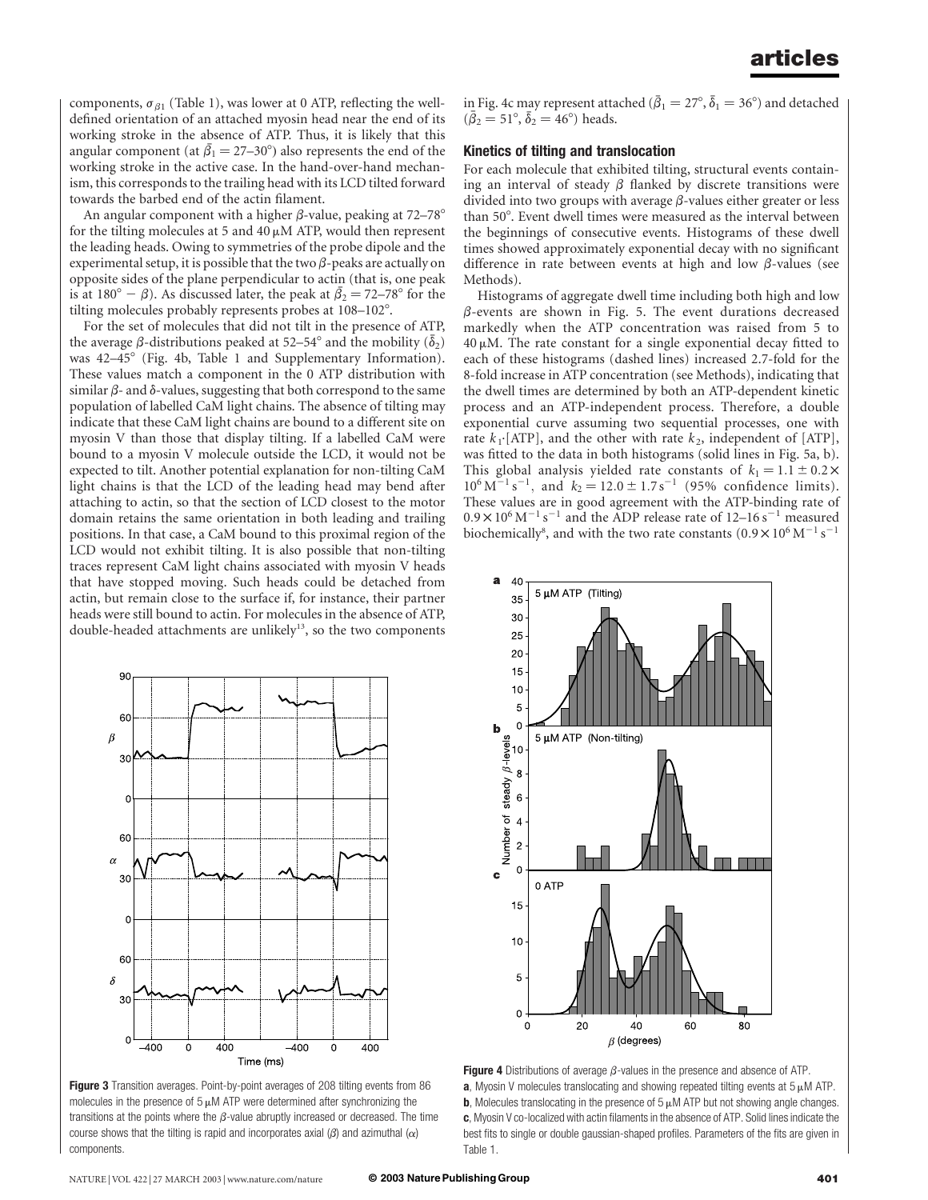components,  $\sigma_{\beta1}$  (Table 1), was lower at 0 ATP, reflecting the welldefined orientation of an attached myosin head near the end of its working stroke in the absence of ATP. Thus, it is likely that this angular component (at  $\bar{\beta}_1 = 27-30^{\circ}$ ) also represents the end of the working stroke in the active case. In the hand-over-hand mechanism, this corresponds to the trailing head with its LCD tilted forward towards the barbed end of the actin filament.

An angular component with a higher  $\beta$ -value, peaking at 72–78<sup>°</sup> for the tilting molecules at 5 and 40  $\mu$ M ATP, would then represent the leading heads. Owing to symmetries of the probe dipole and the experimental setup, it is possible that the two  $\beta$ -peaks are actually on opposite sides of the plane perpendicular to actin (that is, one peak is at 180° –  $\beta$ ). As discussed later, the peak at  $\bar{\beta}_2 = 72-78$ ° for the tilting molecules probably represents probes at 108-102°.

For the set of molecules that did not tilt in the presence of ATP, the average  $\beta$ -distributions peaked at 52–54° and the mobility  $(\bar{\delta}_2)$ was 42-45° (Fig. 4b, Table 1 and Supplementary Information). These values match a component in the 0 ATP distribution with similar  $\beta$ - and  $\delta$ -values, suggesting that both correspond to the same population of labelled CaM light chains. The absence of tilting may indicate that these CaM light chains are bound to a different site on myosin V than those that display tilting. If a labelled CaM were bound to a myosin V molecule outside the LCD, it would not be expected to tilt. Another potential explanation for non-tilting CaM light chains is that the LCD of the leading head may bend after attaching to actin, so that the section of LCD closest to the motor domain retains the same orientation in both leading and trailing positions. In that case, a CaM bound to this proximal region of the LCD would not exhibit tilting. It is also possible that non-tilting traces represent CaM light chains associated with myosin V heads that have stopped moving. Such heads could be detached from actin, but remain close to the surface if, for instance, their partner heads were still bound to actin. For molecules in the absence of ATP, double-headed attachments are unlikely<sup>13</sup>, so the two components



Figure 3 Transition averages. Point-by-point averages of 208 tilting events from 86 molecules in the presence of  $5 \mu$ M ATP were determined after synchronizing the transitions at the points where the  $\beta$ -value abruptly increased or decreased. The time course shows that the tilting is rapid and incorporates axial ( $\beta$ ) and azimuthal ( $\alpha$ ) components.

in Fig. 4c may represent attached ( $\bar{\beta}_1 = 27^\circ$ ,  $\bar{\delta}_1 = 36^\circ$ ) and detached  $(\bar{\beta}_2 = 51^{\circ}, \bar{\delta}_2 = 46^{\circ})$  heads.

## Kinetics of tilting and translocation

For each molecule that exhibited tilting, structural events containing an interval of steady  $\beta$  flanked by discrete transitions were divided into two groups with average  $\beta$ -values either greater or less than 50°. Event dwell times were measured as the interval between the beginnings of consecutive events. Histograms of these dwell times showed approximately exponential decay with no significant difference in rate between events at high and low  $\beta$ -values (see Methods).

Histograms of aggregate dwell time including both high and low  $\beta$ -events are shown in Fig. 5. The event durations decreased markedly when the ATP concentration was raised from 5 to  $40 \mu$ M. The rate constant for a single exponential decay fitted to each of these histograms (dashed lines) increased 2.7-fold for the 8-fold increase in ATP concentration (see Methods), indicating that the dwell times are determined by both an ATP-dependent kinetic process and an ATP-independent process. Therefore, a double exponential curve assuming two sequential processes, one with rate  $k_1$ <sup>.</sup>[ATP], and the other with rate  $k_2$ , independent of [ATP], was fitted to the data in both histograms (solid lines in Fig. 5a, b). This global analysis yielded rate constants of  $k_1 = 1.1 \pm 0.2 \times$  $10^6 \text{M}^{-1} \text{s}^{-1}$ , and  $k_2 = 12.0 \pm 1.7 \text{s}^{-1}$  (95% confidence limits). These values are in good agreement with the ATP-binding rate of  $0.9 \times 10^6$  M<sup>-1</sup> s<sup>-1</sup> and the ADP release rate of 12–16 s<sup>-1</sup> measured biochemically<sup>8</sup>, and with the two rate constants  $(0.9 \times 10^6 \,\mathrm{M}^{-1}\,\mathrm{s}^{-1}$ 



**Figure 4** Distributions of average  $\beta$ -values in the presence and absence of ATP. a, Myosin V molecules translocating and showing repeated tilting events at  $5 \mu M$  ATP. **b**, Molecules translocating in the presence of  $5 \mu$ M ATP but not showing angle changes. c, Myosin V co-localized with actin filaments in the absence of ATP. Solid lines indicate the best fits to single or double gaussian-shaped profiles. Parameters of the fits are given in Table 1.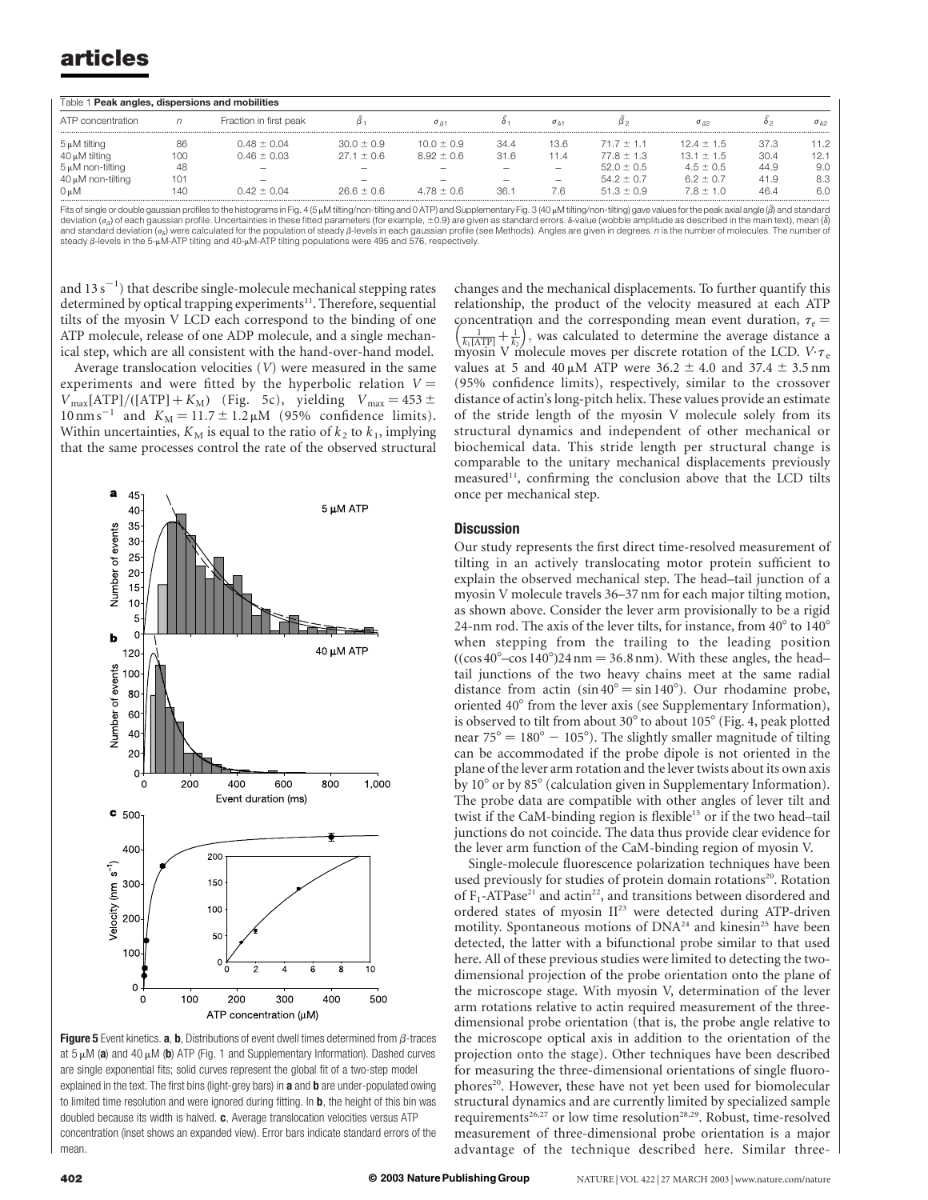| Peak angles, dispersions and mobilities<br>Table |     |                        |                          |                  |      |                          |                |                   |                |                     |
|--------------------------------------------------|-----|------------------------|--------------------------|------------------|------|--------------------------|----------------|-------------------|----------------|---------------------|
| ATP concentration                                | n   | Fraction in first peak |                          | $\sigma_{\beta}$ |      | $\sigma_{\hat{\delta}1}$ | Dσ             | $\sigma_{\beta2}$ | 0 <sub>2</sub> | $\sigma_{\delta 2}$ |
| 5 μM tilting                                     | 86  | $0.48 \pm 0.04$        | $30.0 \pm 0.9$           | $10.0 \pm 0.9$   | 34.4 | 13.6                     | $71.7 \pm 1.1$ | $124 + 15$        | 37.3           | 11.2                |
| 40 μM tiltina                                    | 100 | $0.46 \pm 0.03$        | $27.1 \pm 0.6$           | $8.92 \pm 0.6$   | 31.6 | 11.4                     | $77.8 \pm 1.3$ | $13.1 \pm 1.5$    | 30.4           | 12.1                |
| $5 \mu$ M non-tilting                            | 48  |                        |                          |                  |      | $\hspace{0.05cm}$        | $52.0 \pm 0.5$ | $4.5 \pm 0.5$     | 44.9           | 9.0                 |
| $40 \mu M$ non-tilting                           | 101 |                        | $\overline{\phantom{a}}$ |                  |      | $\overline{\phantom{a}}$ | $54.2 \pm 0.7$ | $6.2 \pm 0.7$     | 41.9           | 8.3                 |
| 0 uM                                             | 140 | $0.42 \pm 0.04$        | $26.6 \pm 0.6$           | $4.78 \pm 0.6$   | 36.7 | 7.6                      | $51.3 \pm 0.9$ | $7.8 \pm 1.0$     | 46.4           | 6.0                 |

Fits of single or double gaussian profiles to the histograms in Fig. 4 (5 uM tilting/non-tilting and 0 ATP) and Supplementary Fig. 3 (40 uM tilting/non-tilting) gave values for the peak axial angle (b̄) and standard deviation ( $\sigma_\beta$ ) of each gaussian profile. Uncertainties in these fitted parameters (for example, ±0.9) are given as standard errors.  $\delta$ -value (wobble amplitude as described in the main text), mean ( $\delta$ ) and standard deviation (σ<sub>δ</sub>) were calculated for the population of steady β-levels in each gaussian profile (see Methods). Angles are given in degrees. *n* is the number of molecules. The number of<br>steady β-levels in the

and 13  $\text{s}^{-1}$ ) that describe single-molecule mechanical stepping rates determined by optical trapping experiments<sup>11</sup>. Therefore, sequential tilts of the myosin V LCD each correspond to the binding of one ATP molecule, release of one ADP molecule, and a single mechanical step, which are all consistent with the hand-over-hand model.

Average translocation velocities (V) were measured in the same experiments and were fitted by the hyperbolic relation  $V =$  $V_{\text{max}}[ATP]/([ATP] + K_M)$  (Fig. 5c), yielding  $V_{\text{max}} = 453 \pm$  $10 \text{ nm s}^{-1}$  and  $K_M = 11.7 \pm 1.2 \mu M$  (95% confidence limits). Within uncertainties,  $K_M$  is equal to the ratio of  $k_2$  to  $k_1$ , implying that the same processes control the rate of the observed structural



Figure 5 Event kinetics. a, b, Distributions of event dwell times determined from  $\beta$ -traces at  $5 \mu$ M (a) and 40  $\mu$ M (b) ATP (Fig. 1 and Supplementary Information). Dashed curves are single exponential fits; solid curves represent the global fit of a two-step model explained in the text. The first bins (light-grey bars) in  $\boldsymbol{a}$  and  $\boldsymbol{b}$  are under-populated owing to limited time resolution and were ignored during fitting. In **b**, the height of this bin was doubled because its width is halved. c, Average translocation velocities versus ATP concentration (inset shows an expanded view). Error bars indicate standard errors of the mean.

changes and the mechanical displacements. To further quantify this relationship, the product of the velocity measured at each ATP concentration and the corresponding mean event duration,  $\tau_e$  = concentration and the corresponding mean event duration,  $\tau_e = \left(\frac{1}{k_1[ATP]} + \frac{1}{k_2}\right)$ , was calculated to determine the average distance a myosin V molecule moves per discrete rotation of the LCD.  $V \tau_e$ values at 5 and 40  $\mu$ M ATP were 36.2  $\pm$  4.0 and 37.4  $\pm$  3.5 nm (95% confidence limits), respectively, similar to the crossover distance of actin's long-pitch helix. These values provide an estimate of the stride length of the myosin V molecule solely from its structural dynamics and independent of other mechanical or biochemical data. This stride length per structural change is comparable to the unitary mechanical displacements previously measured<sup>11</sup>, confirming the conclusion above that the LCD tilts once per mechanical step.

## **Discussion**

Our study represents the first direct time-resolved measurement of tilting in an actively translocating motor protein sufficient to explain the observed mechanical step. The head–tail junction of a myosin V molecule travels 36–37 nm for each major tilting motion, as shown above. Consider the lever arm provisionally to be a rigid 24-nm rod. The axis of the lever tilts, for instance, from  $40^{\circ}$  to  $140^{\circ}$ when stepping from the trailing to the leading position  $\left(\cos 40^\circ - \cos 140^\circ\right)$ 24 nm = 36.8 nm). With these angles, the head– tail junctions of the two heavy chains meet at the same radial distance from actin  $(sin 40^\circ = \sin 140^\circ)$ . Our rhodamine probe, oriented 40° from the lever axis (see Supplementary Information), is observed to tilt from about 30 $^{\circ}$  to about 105 $^{\circ}$  (Fig. 4, peak plotted near  $75^{\circ} = 180^{\circ} - 105^{\circ}$ . The slightly smaller magnitude of tilting can be accommodated if the probe dipole is not oriented in the plane of the lever arm rotation and the lever twists about its own axis by 10° or by 85° (calculation given in Supplementary Information). The probe data are compatible with other angles of lever tilt and twist if the CaM-binding region is flexible<sup>13</sup> or if the two head-tail junctions do not coincide. The data thus provide clear evidence for the lever arm function of the CaM-binding region of myosin V.

Single-molecule fluorescence polarization techniques have been used previously for studies of protein domain rotations<sup>20</sup>. Rotation of  $F_1$ -ATPase<sup>21</sup> and actin<sup>22</sup>, and transitions between disordered and ordered states of myosin  $II^{23}$  were detected during ATP-driven motility. Spontaneous motions of DNA<sup>24</sup> and kinesin<sup>25</sup> have been detected, the latter with a bifunctional probe similar to that used here. All of these previous studies were limited to detecting the twodimensional projection of the probe orientation onto the plane of the microscope stage. With myosin V, determination of the lever arm rotations relative to actin required measurement of the threedimensional probe orientation (that is, the probe angle relative to the microscope optical axis in addition to the orientation of the projection onto the stage). Other techniques have been described for measuring the three-dimensional orientations of single fluorophores<sup>20</sup>. However, these have not yet been used for biomolecular structural dynamics and are currently limited by specialized sample requirements<sup>26,27</sup> or low time resolution<sup>28,29</sup>. Robust, time-resolved measurement of three-dimensional probe orientation is a major advantage of the technique described here. Similar three-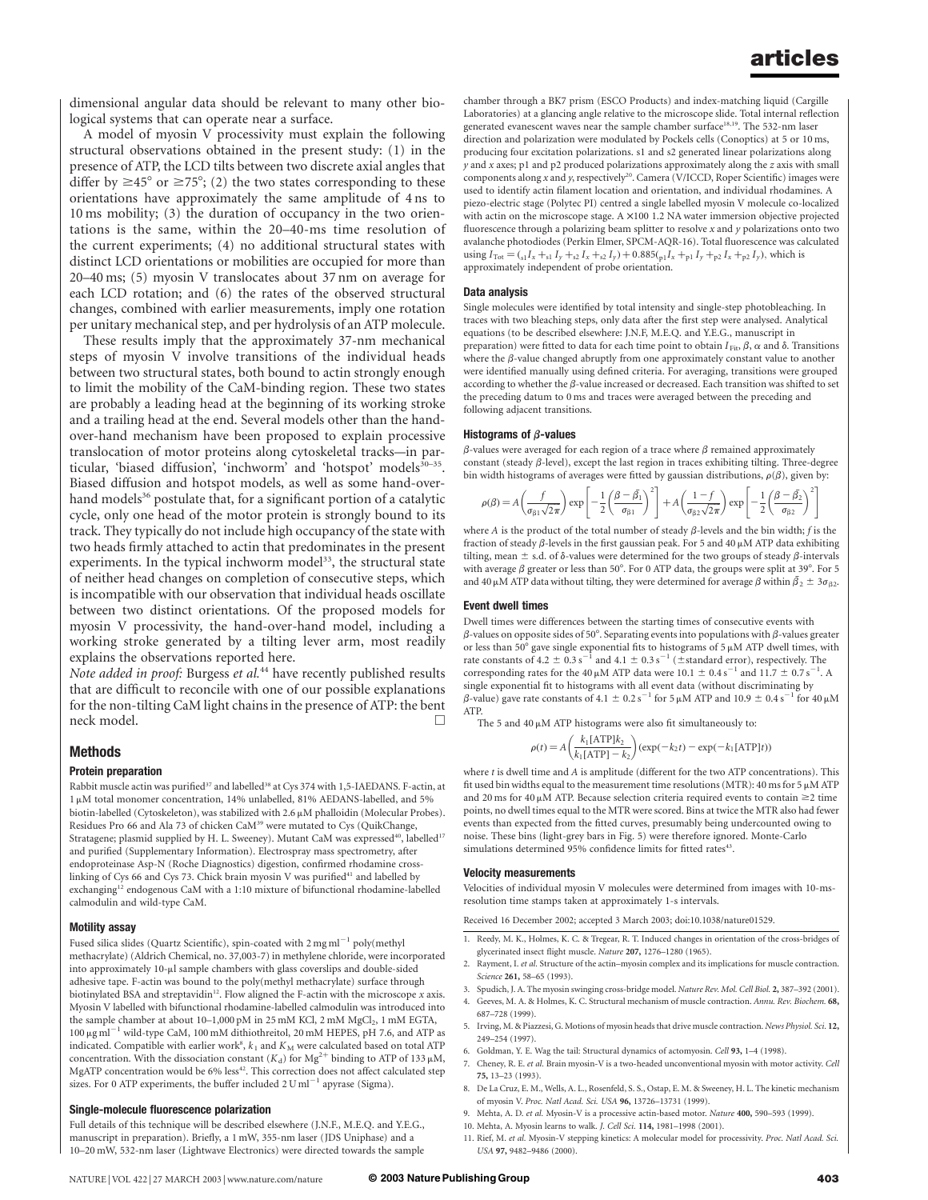dimensional angular data should be relevant to many other biological systems that can operate near a surface.

A model of myosin V processivity must explain the following structural observations obtained in the present study: (1) in the presence of ATP, the LCD tilts between two discrete axial angles that differ by  $\geq$ 45° or  $\geq$ 75°; (2) the two states corresponding to these orientations have approximately the same amplitude of 4 ns to 10 ms mobility; (3) the duration of occupancy in the two orientations is the same, within the 20–40-ms time resolution of the current experiments; (4) no additional structural states with distinct LCD orientations or mobilities are occupied for more than 20–40 ms; (5) myosin V translocates about 37 nm on average for each LCD rotation; and (6) the rates of the observed structural changes, combined with earlier measurements, imply one rotation per unitary mechanical step, and per hydrolysis of an ATP molecule.

These results imply that the approximately 37-nm mechanical steps of myosin V involve transitions of the individual heads between two structural states, both bound to actin strongly enough to limit the mobility of the CaM-binding region. These two states are probably a leading head at the beginning of its working stroke and a trailing head at the end. Several models other than the handover-hand mechanism have been proposed to explain processive translocation of motor proteins along cytoskeletal tracks—in particular, 'biased diffusion', 'inchworm' and 'hotspot' models<sup>30-35</sup>. Biased diffusion and hotspot models, as well as some hand-overhand models<sup>36</sup> postulate that, for a significant portion of a catalytic cycle, only one head of the motor protein is strongly bound to its track. They typically do not include high occupancy of the state with two heads firmly attached to actin that predominates in the present experiments. In the typical inchworm model<sup>33</sup>, the structural state of neither head changes on completion of consecutive steps, which is incompatible with our observation that individual heads oscillate between two distinct orientations. Of the proposed models for myosin V processivity, the hand-over-hand model, including a working stroke generated by a tilting lever arm, most readily explains the observations reported here.

Note added in proof: Burgess et al.<sup>44</sup> have recently published results that are difficult to reconcile with one of our possible explanations for the non-tilting CaM light chains in the presence of ATP: the bent neck model.

#### Methods

#### Protein preparation

Rabbit muscle actin was purified<sup>37</sup> and labelled<sup>38</sup> at Cys 374 with 1,5-IAEDANS. F-actin, at  $1 \mu$ M total monomer concentration, 14% unlabelled, 81% AEDANS-labelled, and 5% biotin-labelled (Cytoskeleton), was stabilized with 2.6  $\mu$ M phalloidin (Molecular Probes). Residues Pro 66 and Ala 73 of chicken CaM<sup>39</sup> were mutated to Cys (QuikChange, Stratagene; plasmid supplied by H. L. Sweeney). Mutant CaM was expressed<sup>40</sup>, labelled<sup>17</sup> and purified (Supplementary Information). Electrospray mass spectrometry, after endoproteinase Asp-N (Roche Diagnostics) digestion, confirmed rhodamine crosslinking of Cys 66 and Cys 73. Chick brain myosin V was purified $41$  and labelled by exchanging<sup>12</sup> endogenous CaM with a 1:10 mixture of bifunctional rhodamine-labelled calmodulin and wild-type CaM.

#### Motility assay

Fused silica slides (Quartz Scientific), spin-coated with 2 mg ml<sup>-1</sup> poly(methyl methacrylate) (Aldrich Chemical, no. 37,003-7) in methylene chloride, were incorporated into approximately 10-µl sample chambers with glass coverslips and double-sided adhesive tape. F-actin was bound to the poly(methyl methacrylate) surface through biotinylated BSA and streptavidin<sup>12</sup>. Flow aligned the F-actin with the microscope  $x$  axis. Myosin V labelled with bifunctional rhodamine-labelled calmodulin was introduced into the sample chamber at about  $10-1,000$  pM in 25 mM KCl, 2 mM  $MgCl<sub>2</sub>$ , 1 mM EGTA,  $100 \mu$ g ml<sup>-1</sup> wild-type CaM, 100 mM dithiothreitol, 20 mM HEPES, pH 7.6, and ATP as indicated. Compatible with earlier work $^8$ ,  $k_1$  and  $K_{\rm M}$  were calculated based on total ATP concentration. With the dissociation constant  $(K_{\rm d})$  for  ${\rm Mg}^{2+}$  binding to ATP of 133  $\upmu{\rm M},$ MgATP concentration would be 6% less<sup>42</sup>. This correction does not affect calculated step sizes. For 0 ATP experiments, the buffer included  $2 \text{ U ml}^{-1}$  apyrase (Sigma).

#### Single-molecule fluorescence polarization

Full details of this technique will be described elsewhere (J.N.F., M.E.Q. and Y.E.G., manuscript in preparation). Briefly, a 1 mW, 355-nm laser (JDS Uniphase) and a 10–20 mW, 532-nm laser (Lightwave Electronics) were directed towards the sample

chamber through a BK7 prism (ESCO Products) and index-matching liquid (Cargille Laboratories) at a glancing angle relative to the microscope slide. Total internal reflection generated evanescent waves near the sample chamber surface<sup>18,19</sup>. The 532-nm laser direction and polarization were modulated by Pockels cells (Conoptics) at 5 or 10 ms, producing four excitation polarizations. s1 and s2 generated linear polarizations along y and x axes; p1 and p2 produced polarizations approximately along the z axis with small components along  $x$  and  $y$ , respectively<sup>20</sup>. Camera (V/ICCD, Roper Scientific) images were used to identify actin filament location and orientation, and individual rhodamines. A piezo-electric stage (Polytec PI) centred a single labelled myosin V molecule co-localized with actin on the microscope stage. A  $\times$ 100 1.2 NA water immersion objective projected fluorescence through a polarizing beam splitter to resolve  $x$  and  $y$  polarizations onto two avalanche photodiodes (Perkin Elmer, SPCM-AQR-16). Total fluorescence was calculated using  $I_{\text{Tot}} = \binom{s}{s1}I_x +_{s1}I_y +_{s2}I_x +_{s2}I_y) + 0.885\binom{s}{p1}I_x +_{p1}I_y +_{p2}I_x +_{p2}I_y)$ , which is approximately independent of probe orientation.

#### Data analysis

Single molecules were identified by total intensity and single-step photobleaching. In traces with two bleaching steps, only data after the first step were analysed. Analytical equations (to be described elsewhere: J.N.F, M.E.Q. and Y.E.G., manuscript in preparation) were fitted to data for each time point to obtain  $I_{\text{Fit}}$ ,  $\beta$ ,  $\alpha$  and  $\delta$ . Transitions where the  $\beta$ -value changed abruptly from one approximately constant value to another were identified manually using defined criteria. For averaging, transitions were grouped according to whether the  $\beta$ -value increased or decreased. Each transition was shifted to set the preceding datum to 0 ms and traces were averaged between the preceding and following adjacent transitions.

#### Histograms of  $\beta$ -values

 $\beta$  -values were averaged for each region of a trace where  $\beta$  remained approximately constant (steady  $\beta$ -level), except the last region in traces exhibiting tilting. Three-degree bin width histograms of averages were fitted by gaussian distributions,  $\rho(\beta)$ , given by:

$$
\rho(\beta) = A\left(\frac{f}{\sigma_{\beta 1}\sqrt{2\pi}}\right)\exp\left[-\frac{1}{2}\left(\frac{\beta-\bar{\beta_1}}{\sigma_{\beta 1}}\right)^2\right] + A\left(\frac{1-f}{\sigma_{\beta 2}\sqrt{2\pi}}\right)\exp\left[-\frac{1}{2}\left(\frac{\beta-\bar{\beta_2}}{\sigma_{\beta 2}}\right)^2\right]
$$

where  $A$  is the product of the total number of steady  $\beta$ -levels and the bin width;  $f$  is the fraction of steady  $\beta$ -levels in the first gaussian peak. For 5 and 40  $\mu$ M ATP data exhibiting tilting, mean  $\pm$  s.d. of  $\delta$ -values were determined for the two groups of steady  $\beta$ -intervals with average  $\beta$  greater or less than 50°. For 0 ATP data, the groups were split at 39°. For 5 and 40  $\mu$ M ATP data without tilting, they were determined for average  $\beta$  within  $\bar{\beta}_2 \pm 3\sigma_{\beta2}$ .

#### Event dwell times

Dwell times were differences between the starting times of consecutive events with  $\beta$ -values on opposite sides of 50°. Separating events into populations with  $\beta$ -values greater or less than  $50^{\circ}$  gave single exponential fits to histograms of 5  $\mu$ M ATP dwell times, with rate constants of 4.2  $\pm$  0.3 s<sup>-1</sup> and 4.1  $\pm$  0.3 s<sup>-1</sup> ( $\pm$ standard error), respectively. The corresponding rates for the 40  $\mu$ M ATP data were 10.1  $\pm$  0.4 s<sup>-1</sup> and 11.7  $\pm$  0.7 s<sup>-1</sup>. A single exponential fit to histograms with all event data (without discriminating by  $\beta$ -value) gave rate constants of 4.1  $\pm$  0.2 s<sup>-1</sup> for 5  $\mu$ M ATP and 10.9  $\pm$  0.4 s<sup>-1</sup> for 40  $\mu$ M ATP. The 5 and 40  $\mu$ M ATP histograms were also fit simultaneously to:

$$
\rho(t) = A \left( \frac{k_1[\text{ATP}]k_2}{k_1[\text{ATP}] - k_2} \right) \left( \exp(-k_2 t) - \exp(-k_1[\text{ATP}]t) \right)
$$

where  $t$  is dwell time and  $A$  is amplitude (different for the two ATP concentrations). This fit used bin widths equal to the measurement time resolutions (MTR): 40 ms for 5  $\mu$ M ATP and 20 ms for 40  $\upmu$ M ATP. Because selection criteria required events to contain  $\geq$ 2 time points, no dwell times equal to the MTR were scored. Bins at twice the MTR also had fewer events than expected from the fitted curves, presumably being undercounted owing to noise. These bins (light-grey bars in Fig. 5) were therefore ignored. Monte-Carlo simulations determined 95% confidence limits for fitted rates<sup>43</sup>.

#### Velocity measurements

Velocities of individual myosin V molecules were determined from images with 10-msresolution time stamps taken at approximately 1-s intervals.

Received 16 December 2002; accepted 3 March 2003; doi:10.1038/nature01529.

- 1. Reedy, M. K., Holmes, K. C. & Tregear, R. T. Induced changes in orientation of the cross-bridges of glycerinated insect flight muscle. Nature 207, 1276–1280 (1965).
- 2. Rayment, I. et al. Structure of the actin-myosin complex and its implications for muscle contraction. Science 261, 58–65 (1993).
- 3. Spudich, J. A. The myosin swinging cross-bridge model. Nature Rev. Mol. Cell Biol. 2, 387–392 (2001).
- 4. Geeves, M. A. & Holmes, K. C. Structural mechanism of muscle contraction. Annu. Rev. Biochem. 68, 687–728 (1999).
- 5. Irving, M. & Piazzesi, G. Motions of myosin heads that drive muscle contraction. News Physiol. Sci. 12, 249–254 (1997).
- 6. Goldman, Y. E. Wag the tail: Structural dynamics of actomyosin. Cell 93, 1–4 (1998).
- 7. Cheney, R. E. et al. Brain myosin-V is a two-headed unconventional myosin with motor activity. Cell 75, 13–23 (1993).
- 8. De La Cruz, E. M., Wells, A. L., Rosenfeld, S. S., Ostap, E. M. & Sweeney, H. L. The kinetic mechanism of myosin V. Proc. Natl Acad. Sci. USA 96, 13726–13731 (1999).
- 9. Mehta, A. D. et al. Myosin-V is a processive actin-based motor. Nature 400, 590-593 (1999).
- 10. Mehta, A. Myosin learns to walk. J. Cell Sci. 114, 1981–1998 (2001).
- 11. Rief, M. et al. Myosin-V stepping kinetics: A molecular model for processivity. Proc. Natl Acad. Sci. USA 97, 9482–9486 (2000).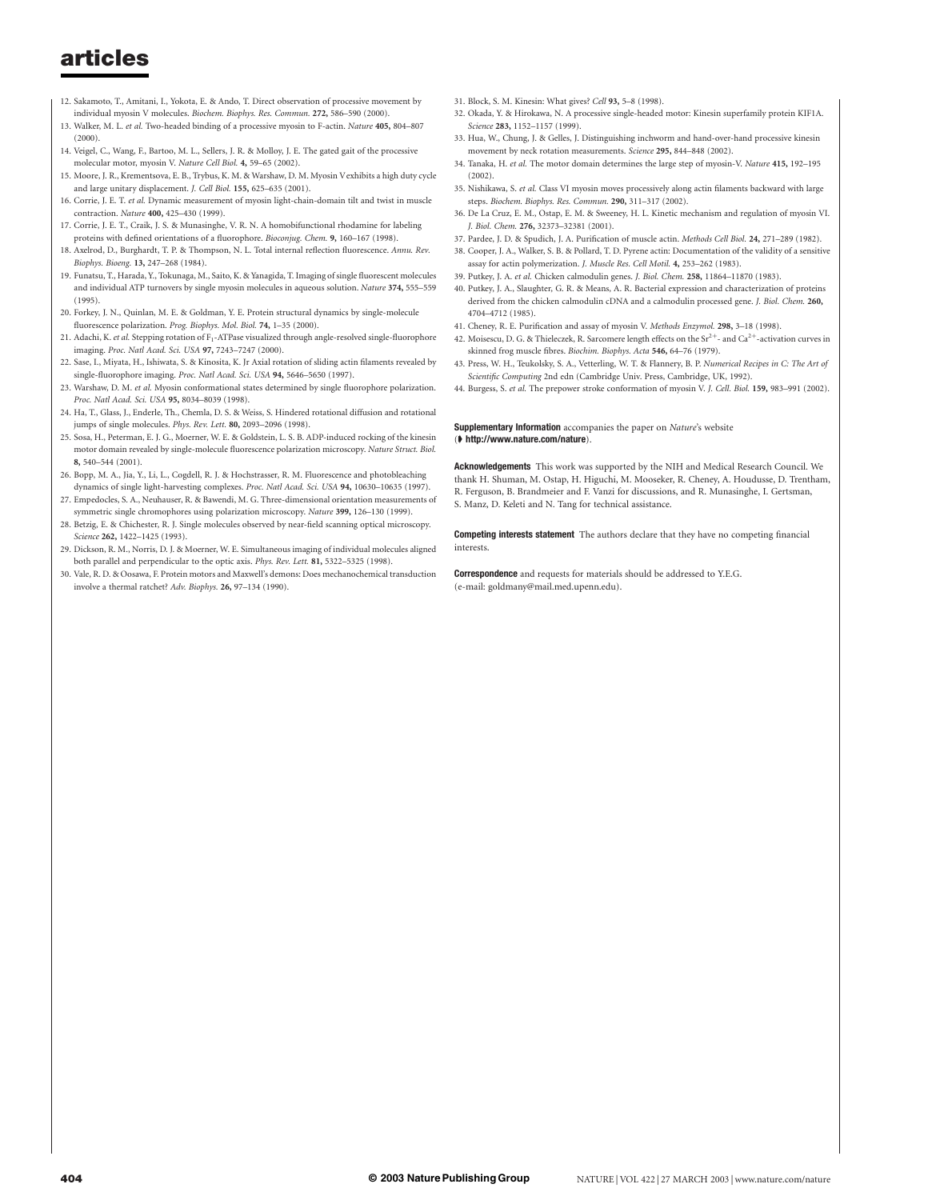- 12. Sakamoto, T., Amitani, I., Yokota, E. & Ando, T. Direct observation of processive movement by individual myosin V molecules. Biochem. Biophys. Res. Commun. 272, 586–590 (2000).
- 13. Walker, M. L. et al. Two-headed binding of a processive myosin to F-actin. Nature 405, 804–807 (2000).
- 14. Veigel, C., Wang, F., Bartoo, M. L., Sellers, J. R. & Molloy, J. E. The gated gait of the processive molecular motor, myosin V. Nature Cell Biol. 4, 59–65 (2002).
- 15. Moore, J. R., Krementsova, E. B., Trybus, K. M. & Warshaw, D. M. Myosin Vexhibits a high duty cycle and large unitary displacement. J. Cell Biol. 155, 625–635 (2001).
- 16. Corrie, J. E. T. et al. Dynamic measurement of myosin light-chain-domain tilt and twist in muscle contraction. Nature 400, 425–430 (1999).
- 17. Corrie, J. E. T., Craik, J. S. & Munasinghe, V. R. N. A homobifunctional rhodamine for labeling proteins with defined orientations of a fluorophore. Bioconjug. Chem. 9, 160–167 (1998).
- 18. Axelrod, D., Burghardt, T. P. & Thompson, N. L. Total internal reflection fluorescence. Annu. Rev. Biophys. Bioeng. 13, 247–268 (1984).
- 19. Funatsu, T., Harada, Y., Tokunaga, M., Saito, K. & Yanagida, T. Imaging of single fluorescent molecules and individual ATP turnovers by single myosin molecules in aqueous solution. Nature 374, 555–559 (1995).
- 20. Forkey, J. N., Quinlan, M. E. & Goldman, Y. E. Protein structural dynamics by single-molecule fluorescence polarization. Prog. Biophys. Mol. Biol. 74, 1–35 (2000).
- 21. Adachi, K. et al. Stepping rotation of F<sub>1</sub>-ATPase visualized through angle-resolved single-fluorophore imaging. Proc. Natl Acad. Sci. USA 97, 7243–7247 (2000).
- 22. Sase, I., Miyata, H., Ishiwata, S. & Kinosita, K. Jr Axial rotation of sliding actin filaments revealed by single-fluorophore imaging. Proc. Natl Acad. Sci. USA 94, 5646–5650 (1997).
- 23. Warshaw, D. M. et al. Myosin conformational states determined by single fluorophore polarization. Proc. Natl Acad. Sci. USA 95, 8034–8039 (1998).
- 24. Ha, T., Glass, J., Enderle, Th., Chemla, D. S. & Weiss, S. Hindered rotational diffusion and rotational jumps of single molecules. Phys. Rev. Lett. 80, 2093–2096 (1998).
- 25. Sosa, H., Peterman, E. J. G., Moerner, W. E. & Goldstein, L. S. B. ADP-induced rocking of the kinesin motor domain revealed by single-molecule fluorescence polarization microscopy. Nature Struct. Biol. 8, 540–544 (2001).
- 26. Bopp, M. A., Jia, Y., Li, L., Cogdell, R. J. & Hochstrasser, R. M. Fluorescence and photobleaching dynamics of single light-harvesting complexes. Proc. Natl Acad. Sci. USA 94, 10630–10635 (1997).
- 27. Empedocles, S. A., Neuhauser, R. & Bawendi, M. G. Three-dimensional orientation measurements of symmetric single chromophores using polarization microscopy. Nature 399, 126-130 (1999).
- 28. Betzig, E. & Chichester, R. J. Single molecules observed by near-field scanning optical microscopy. Science 262, 1422-1425 (1993).
- 29. Dickson, R. M., Norris, D. J. & Moerner, W. E. Simultaneous imaging of individual molecules aligned both parallel and perpendicular to the optic axis. Phys. Rev. Lett. 81, 5322–5325 (1998).
- 30. Vale, R. D. & Oosawa, F. Protein motors and Maxwell's demons: Does mechanochemical transduction involve a thermal ratchet? Adv. Biophys. 26, 97–134 (1990).
- 31. Block, S. M. Kinesin: What gives? Cell 93, 5–8 (1998).
- 32. Okada, Y. & Hirokawa, N. A processive single-headed motor: Kinesin superfamily protein KIF1A. Science 283, 1152–1157 (1999).
- 33. Hua, W., Chung, J. & Gelles, J. Distinguishing inchworm and hand-over-hand processive kinesin movement by neck rotation measurements. Science 295, 844-848 (2002)
- 34. Tanaka, H. et al. The motor domain determines the large step of myosin-V. Nature 415, 192-195 (2002).
- 35. Nishikawa, S. et al. Class VI myosin moves processively along actin filaments backward with large steps. Biochem. Biophys. Res. Commun. 290, 311–317 (2002).
- 36. De La Cruz, E. M., Ostap, E. M. & Sweeney, H. L. Kinetic mechanism and regulation of myosin VI. J. Biol. Chem. 276, 32373–32381 (2001).
- 37. Pardee, J. D. & Spudich, J. A. Purification of muscle actin. Methods Cell Biol. 24, 271–289 (1982).
- 38. Cooper, J. A., Walker, S. B. & Pollard, T. D. Pyrene actin: Documentation of the validity of a sensitive assay for actin polymerization. J. Muscle Res. Cell Motil. 4, 253–262 (1983).
- 39. Putkey, J. A. et al. Chicken calmodulin genes. J. Biol. Chem. 258, 11864–11870 (1983).
- 40. Putkey, J. A., Slaughter, G. R. & Means, A. R. Bacterial expression and characterization of proteins derived from the chicken calmodulin cDNA and a calmodulin processed gene. J. Biol. Chem. 260, 4704–4712 (1985).
- 41. Cheney, R. E. Purification and assay of myosin V. Methods Enzymol. 298, 3–18 (1998).
- 42. Moisescu, D. G. & Thieleczek, R. Sarcomere length effects on the  $\text{Sr}^{2+}$  and  $\text{Ca}^{2+}$ -activation curves in skinned frog muscle fibres. Biochim. Biophys. Acta 546, 64–76 (1979).
- 43. Press, W. H., Teukolsky, S. A., Vetterling, W. T. & Flannery, B. P. Numerical Recipes in C: The Art of Scientific Computing 2nd edn (Cambridge Univ. Press, Cambridge, UK, 1992).
- 44. Burgess, S. et al. The prepower stroke conformation of myosin V. J. Cell. Biol. 159, 983–991 (2002).

Supplementary Information accompanies the paper on Nature's website ( $\blacktriangleright$  http://www.nature.com/nature).

Acknowledgements This work was supported by the NIH and Medical Research Council. We thank H. Shuman, M. Ostap, H. Higuchi, M. Mooseker, R. Cheney, A. Houdusse, D. Trentham, R. Ferguson, B. Brandmeier and F. Vanzi for discussions, and R. Munasinghe, I. Gertsman, S. Manz, D. Keleti and N. Tang for technical assistance.

**Competing interests statement** The authors declare that they have no competing financial interests.

**Correspondence** and requests for materials should be addressed to Y.E.G. (e-mail: goldmany@mail.med.upenn.edu).